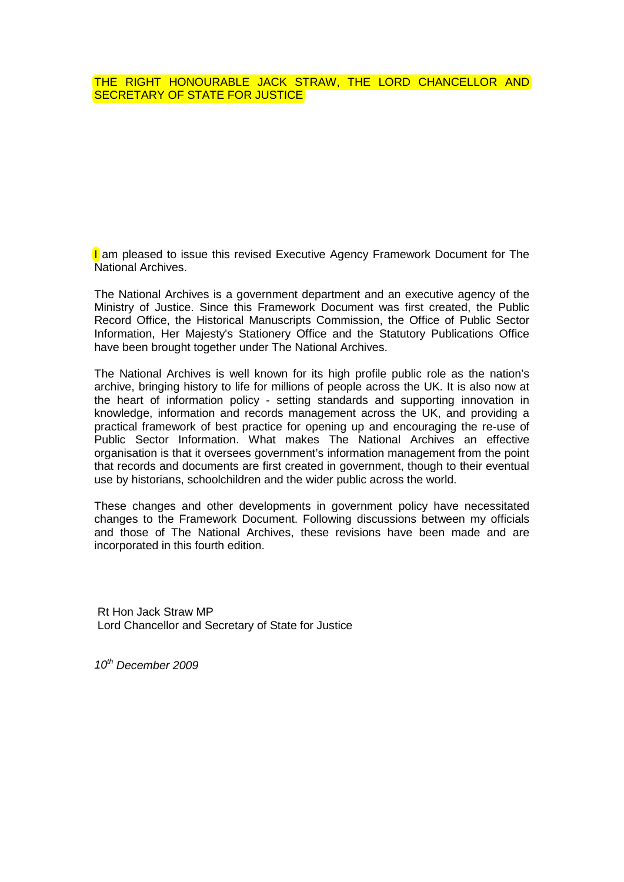## THE RIGHT HONOURABLE JACK STRAW, THE LORD CHANCELLOR AND SECRETARY OF STATE FOR JUSTICE

**I** am pleased to issue this revised Executive Agency Framework Document for The National Archives.

The National Archives is a government department and an executive agency of the Ministry of Justice. Since this Framework Document was first created, the Public Record Office, the Historical Manuscripts Commission, the Office of Public Sector Information, Her Majesty's Stationery Office and the Statutory Publications Office have been brought together under The National Archives.

The National Archives is well known for its high profile public role as the nation's archive, bringing history to life for millions of people across the UK. It is also now at the heart of information policy - setting standards and supporting innovation in knowledge, information and records management across the UK, and providing a practical framework of best practice for opening up and encouraging the re-use of Public Sector Information. What makes The National Archives an effective organisation is that it oversees government's information management from the point that records and documents are first created in government, though to their eventual use by historians, schoolchildren and the wider public across the world.

These changes and other developments in government policy have necessitated changes to the Framework Document. Following discussions between my officials and those of The National Archives, these revisions have been made and are incorporated in this fourth edition.

Rt Hon Jack Straw MP Lord Chancellor and Secretary of State for Justice

*10th December 2009*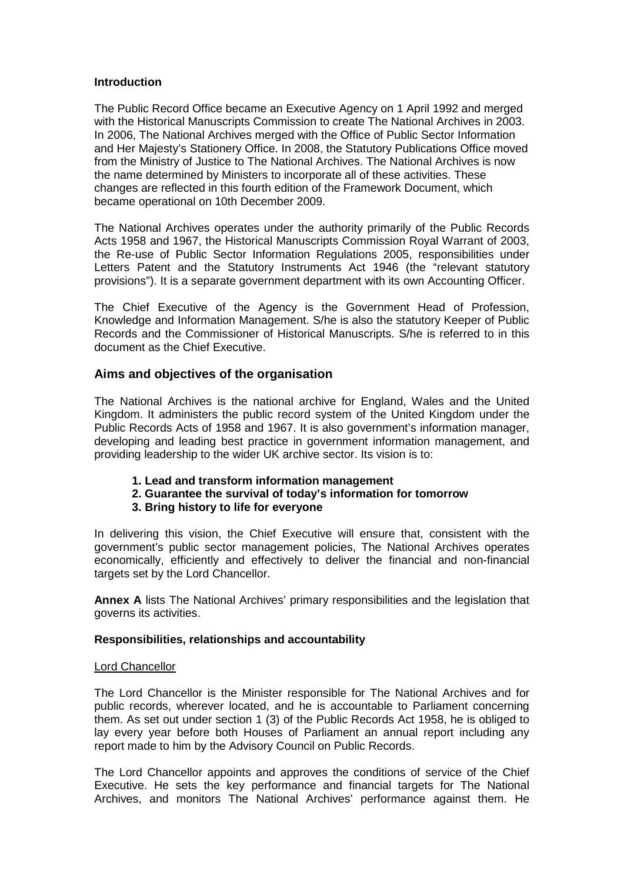## **Introduction**

The Public Record Office became an Executive Agency on 1 April 1992 and merged with the Historical Manuscripts Commission to create The National Archives in 2003. In 2006, The National Archives merged with the Office of Public Sector Information and Her Majesty's Stationery Office. In 2008, the Statutory Publications Office moved from the Ministry of Justice to The National Archives. The National Archives is now the name determined by Ministers to incorporate all of these activities. These changes are reflected in this fourth edition of the Framework Document, which became operational on 10th December 2009.

The National Archives operates under the authority primarily of the Public Records Acts 1958 and 1967, the Historical Manuscripts Commission Royal Warrant of 2003, the Re-use of Public Sector Information Regulations 2005, responsibilities under Letters Patent and the Statutory Instruments Act 1946 (the "relevant statutory provisions"). It is a separate government department with its own Accounting Officer.

The Chief Executive of the Agency is the Government Head of Profession, Knowledge and Information Management. S/he is also the statutory Keeper of Public Records and the Commissioner of Historical Manuscripts. S/he is referred to in this document as the Chief Executive.

## **Aims and objectives of the organisation**

The National Archives is the national archive for England, Wales and the United Kingdom. It administers the public record system of the United Kingdom under the Public Records Acts of 1958 and 1967. It is also government's information manager, developing and leading best practice in government information management, and providing leadership to the wider UK archive sector. Its vision is to:

- **1. Lead and transform information management**
- **2. Guarantee the survival of today's information for tomorrow**
- **3. Bring history to life for everyone**

In delivering this vision, the Chief Executive will ensure that, consistent with the government's public sector management policies, The National Archives operates economically, efficiently and effectively to deliver the financial and non-financial targets set by the Lord Chancellor.

**Annex A** lists The National Archives' primary responsibilities and the legislation that governs its activities.

## **Responsibilities, relationships and accountability**

## Lord Chancellor

The Lord Chancellor is the Minister responsible for The National Archives and for public records, wherever located, and he is accountable to Parliament concerning them. As set out under section 1 (3) of the Public Records Act 1958, he is obliged to lay every year before both Houses of Parliament an annual report including any report made to him by the Advisory Council on Public Records.

The Lord Chancellor appoints and approves the conditions of service of the Chief Executive. He sets the key performance and financial targets for The National Archives, and monitors The National Archives' performance against them. He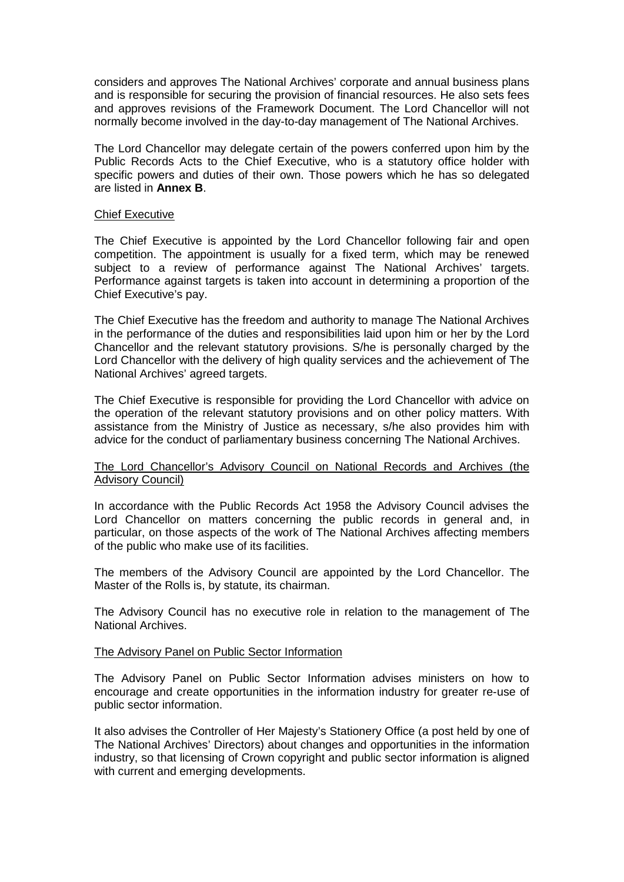considers and approves The National Archives' corporate and annual business plans and is responsible for securing the provision of financial resources. He also sets fees and approves revisions of the Framework Document. The Lord Chancellor will not normally become involved in the day-to-day management of The National Archives.

The Lord Chancellor may delegate certain of the powers conferred upon him by the Public Records Acts to the Chief Executive, who is a statutory office holder with specific powers and duties of their own. Those powers which he has so delegated are listed in **Annex B**.

## Chief Executive

The Chief Executive is appointed by the Lord Chancellor following fair and open competition. The appointment is usually for a fixed term, which may be renewed subject to a review of performance against The National Archives' targets. Performance against targets is taken into account in determining a proportion of the Chief Executive's pay.

The Chief Executive has the freedom and authority to manage The National Archives in the performance of the duties and responsibilities laid upon him or her by the Lord Chancellor and the relevant statutory provisions. S/he is personally charged by the Lord Chancellor with the delivery of high quality services and the achievement of The National Archives' agreed targets.

The Chief Executive is responsible for providing the Lord Chancellor with advice on the operation of the relevant statutory provisions and on other policy matters. With assistance from the Ministry of Justice as necessary, s/he also provides him with advice for the conduct of parliamentary business concerning The National Archives.

## The Lord Chancellor's Advisory Council on National Records and Archives (the Advisory Council)

In accordance with the Public Records Act 1958 the Advisory Council advises the Lord Chancellor on matters concerning the public records in general and, in particular, on those aspects of the work of The National Archives affecting members of the public who make use of its facilities.

The members of the Advisory Council are appointed by the Lord Chancellor. The Master of the Rolls is, by statute, its chairman.

The Advisory Council has no executive role in relation to the management of The National Archives.

## The Advisory Panel on Public Sector Information

The Advisory Panel on Public Sector Information advises ministers on how to encourage and create opportunities in the information industry for greater re-use of public sector information.

It also advises the Controller of Her Majesty's Stationery Office (a post held by one of The National Archives' Directors) about changes and opportunities in the information industry, so that licensing of Crown copyright and public sector information is aligned with current and emerging developments.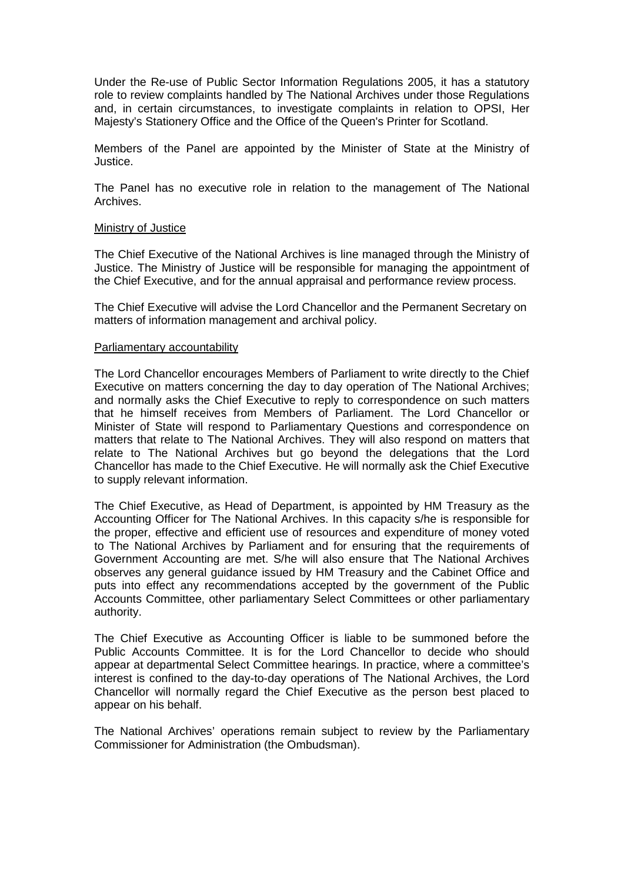Under the Re-use of Public Sector Information Regulations 2005, it has a statutory role to review complaints handled by The National Archives under those Regulations and, in certain circumstances, to investigate complaints in relation to OPSI, Her Majesty's Stationery Office and the Office of the Queen's Printer for Scotland.

Members of the Panel are appointed by the Minister of State at the Ministry of Justice.

The Panel has no executive role in relation to the management of The National Archives.

## Ministry of Justice

The Chief Executive of the National Archives is line managed through the Ministry of Justice. The Ministry of Justice will be responsible for managing the appointment of the Chief Executive, and for the annual appraisal and performance review process.

The Chief Executive will advise the Lord Chancellor and the Permanent Secretary on matters of information management and archival policy.

#### Parliamentary accountability

The Lord Chancellor encourages Members of Parliament to write directly to the Chief Executive on matters concerning the day to day operation of The National Archives; and normally asks the Chief Executive to reply to correspondence on such matters that he himself receives from Members of Parliament. The Lord Chancellor or Minister of State will respond to Parliamentary Questions and correspondence on matters that relate to The National Archives. They will also respond on matters that relate to The National Archives but go beyond the delegations that the Lord Chancellor has made to the Chief Executive. He will normally ask the Chief Executive to supply relevant information.

The Chief Executive, as Head of Department, is appointed by HM Treasury as the Accounting Officer for The National Archives. In this capacity s/he is responsible for the proper, effective and efficient use of resources and expenditure of money voted to The National Archives by Parliament and for ensuring that the requirements of Government Accounting are met. S/he will also ensure that The National Archives observes any general guidance issued by HM Treasury and the Cabinet Office and puts into effect any recommendations accepted by the government of the Public Accounts Committee, other parliamentary Select Committees or other parliamentary authority.

The Chief Executive as Accounting Officer is liable to be summoned before the Public Accounts Committee. It is for the Lord Chancellor to decide who should appear at departmental Select Committee hearings. In practice, where a committee's interest is confined to the day-to-day operations of The National Archives, the Lord Chancellor will normally regard the Chief Executive as the person best placed to appear on his behalf.

The National Archives' operations remain subject to review by the Parliamentary Commissioner for Administration (the Ombudsman).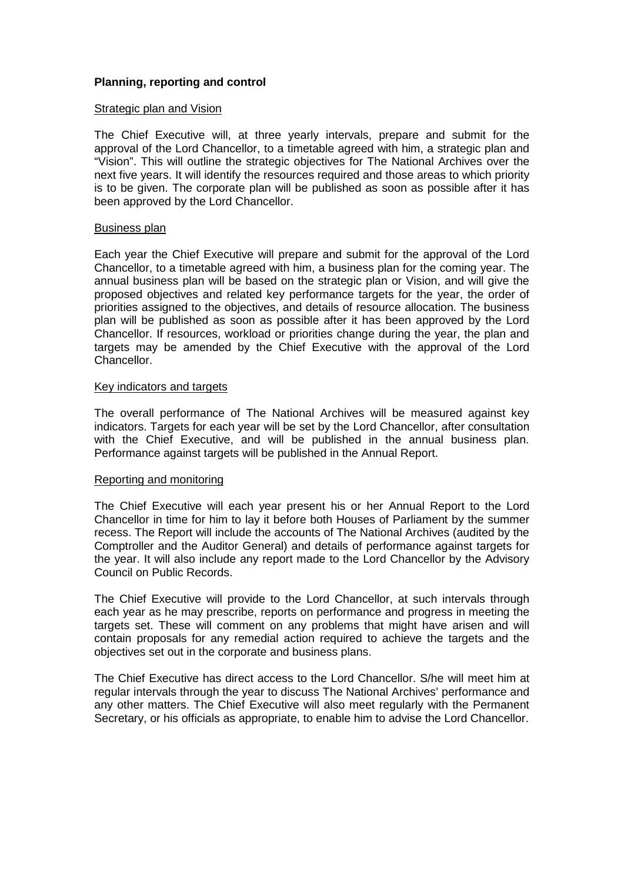## **Planning, reporting and control**

## Strategic plan and Vision

The Chief Executive will, at three yearly intervals, prepare and submit for the approval of the Lord Chancellor, to a timetable agreed with him, a strategic plan and "Vision". This will outline the strategic objectives for The National Archives over the next five years. It will identify the resources required and those areas to which priority is to be given. The corporate plan will be published as soon as possible after it has been approved by the Lord Chancellor.

## Business plan

Each year the Chief Executive will prepare and submit for the approval of the Lord Chancellor, to a timetable agreed with him, a business plan for the coming year. The annual business plan will be based on the strategic plan or Vision, and will give the proposed objectives and related key performance targets for the year, the order of priorities assigned to the objectives, and details of resource allocation. The business plan will be published as soon as possible after it has been approved by the Lord Chancellor. If resources, workload or priorities change during the year, the plan and targets may be amended by the Chief Executive with the approval of the Lord Chancellor.

## Key indicators and targets

The overall performance of The National Archives will be measured against key indicators. Targets for each year will be set by the Lord Chancellor, after consultation with the Chief Executive, and will be published in the annual business plan. Performance against targets will be published in the Annual Report.

#### Reporting and monitoring

The Chief Executive will each year present his or her Annual Report to the Lord Chancellor in time for him to lay it before both Houses of Parliament by the summer recess. The Report will include the accounts of The National Archives (audited by the Comptroller and the Auditor General) and details of performance against targets for the year. It will also include any report made to the Lord Chancellor by the Advisory Council on Public Records.

The Chief Executive will provide to the Lord Chancellor, at such intervals through each year as he may prescribe, reports on performance and progress in meeting the targets set. These will comment on any problems that might have arisen and will contain proposals for any remedial action required to achieve the targets and the objectives set out in the corporate and business plans.

The Chief Executive has direct access to the Lord Chancellor. S/he will meet him at regular intervals through the year to discuss The National Archives' performance and any other matters. The Chief Executive will also meet regularly with the Permanent Secretary, or his officials as appropriate, to enable him to advise the Lord Chancellor.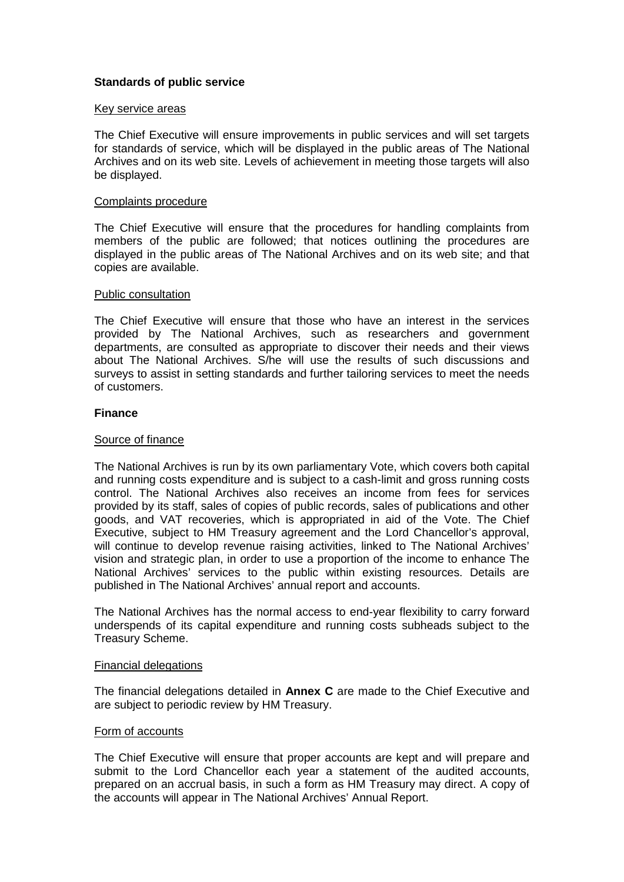## **Standards of public service**

## Key service areas

The Chief Executive will ensure improvements in public services and will set targets for standards of service, which will be displayed in the public areas of The National Archives and on its web site. Levels of achievement in meeting those targets will also be displayed.

## Complaints procedure

The Chief Executive will ensure that the procedures for handling complaints from members of the public are followed; that notices outlining the procedures are displayed in the public areas of The National Archives and on its web site; and that copies are available.

## Public consultation

The Chief Executive will ensure that those who have an interest in the services provided by The National Archives, such as researchers and government departments, are consulted as appropriate to discover their needs and their views about The National Archives. S/he will use the results of such discussions and surveys to assist in setting standards and further tailoring services to meet the needs of customers.

## **Finance**

## Source of finance

The National Archives is run by its own parliamentary Vote, which covers both capital and running costs expenditure and is subject to a cash-limit and gross running costs control. The National Archives also receives an income from fees for services provided by its staff, sales of copies of public records, sales of publications and other goods, and VAT recoveries, which is appropriated in aid of the Vote. The Chief Executive, subject to HM Treasury agreement and the Lord Chancellor's approval, will continue to develop revenue raising activities, linked to The National Archives' vision and strategic plan, in order to use a proportion of the income to enhance The National Archives' services to the public within existing resources. Details are published in The National Archives' annual report and accounts.

The National Archives has the normal access to end-year flexibility to carry forward underspends of its capital expenditure and running costs subheads subject to the Treasury Scheme.

#### Financial delegations

The financial delegations detailed in **Annex C** are made to the Chief Executive and are subject to periodic review by HM Treasury.

## Form of accounts

The Chief Executive will ensure that proper accounts are kept and will prepare and submit to the Lord Chancellor each year a statement of the audited accounts, prepared on an accrual basis, in such a form as HM Treasury may direct. A copy of the accounts will appear in The National Archives' Annual Report.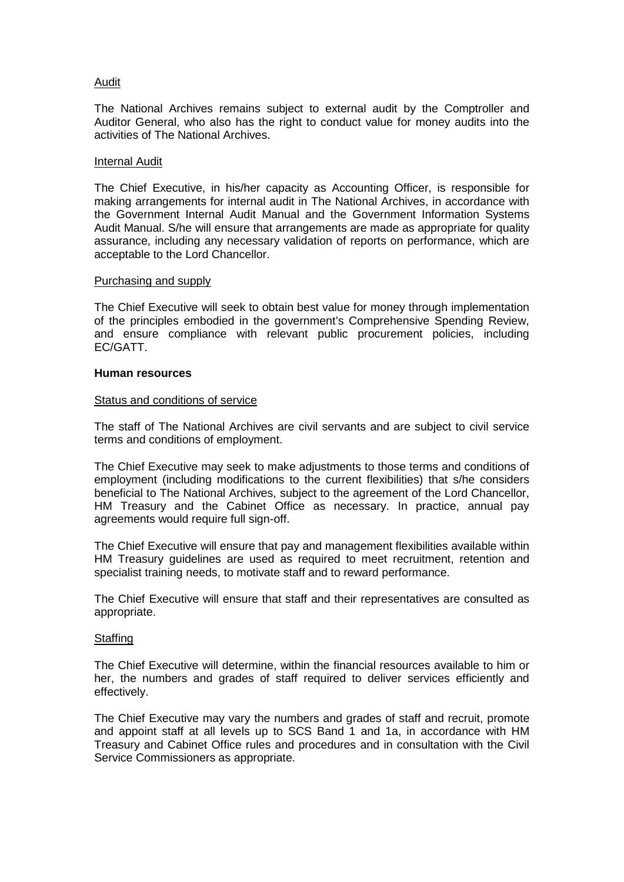## Audit

The National Archives remains subject to external audit by the Comptroller and Auditor General, who also has the right to conduct value for money audits into the activities of The National Archives.

## Internal Audit

The Chief Executive, in his/her capacity as Accounting Officer, is responsible for making arrangements for internal audit in The National Archives, in accordance with the Government Internal Audit Manual and the Government Information Systems Audit Manual. S/he will ensure that arrangements are made as appropriate for quality assurance, including any necessary validation of reports on performance, which are acceptable to the Lord Chancellor.

## Purchasing and supply

The Chief Executive will seek to obtain best value for money through implementation of the principles embodied in the government's Comprehensive Spending Review, and ensure compliance with relevant public procurement policies, including EC/GATT.

## **Human resources**

## Status and conditions of service

The staff of The National Archives are civil servants and are subject to civil service terms and conditions of employment.

The Chief Executive may seek to make adjustments to those terms and conditions of employment (including modifications to the current flexibilities) that s/he considers beneficial to The National Archives, subject to the agreement of the Lord Chancellor, HM Treasury and the Cabinet Office as necessary. In practice, annual pay agreements would require full sign-off.

The Chief Executive will ensure that pay and management flexibilities available within HM Treasury guidelines are used as required to meet recruitment, retention and specialist training needs, to motivate staff and to reward performance.

The Chief Executive will ensure that staff and their representatives are consulted as appropriate.

## **Staffing**

The Chief Executive will determine, within the financial resources available to him or her, the numbers and grades of staff required to deliver services efficiently and effectively.

The Chief Executive may vary the numbers and grades of staff and recruit, promote and appoint staff at all levels up to SCS Band 1 and 1a, in accordance with HM Treasury and Cabinet Office rules and procedures and in consultation with the Civil Service Commissioners as appropriate.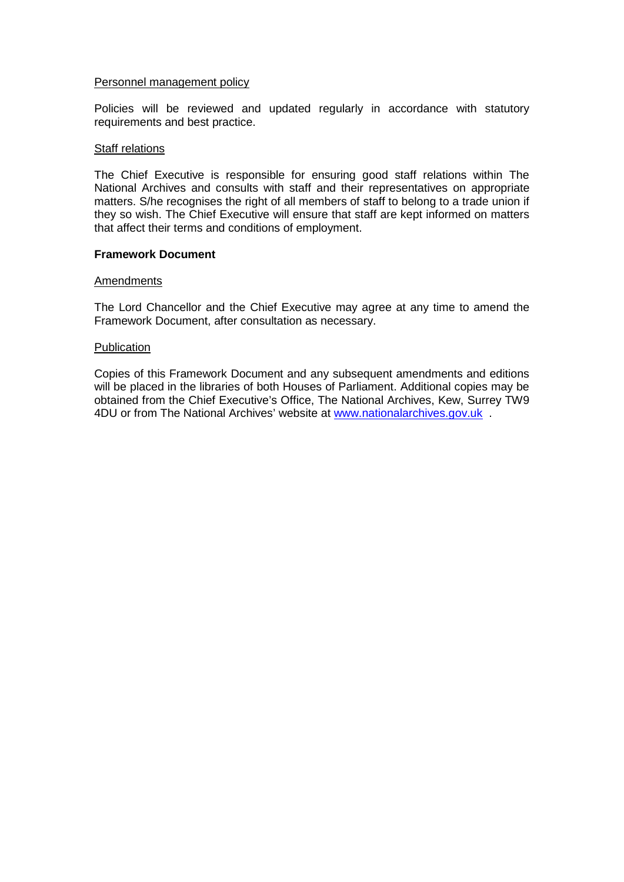## Personnel management policy

Policies will be reviewed and updated regularly in accordance with statutory requirements and best practice.

## Staff relations

The Chief Executive is responsible for ensuring good staff relations within The National Archives and consults with staff and their representatives on appropriate matters. S/he recognises the right of all members of staff to belong to a trade union if they so wish. The Chief Executive will ensure that staff are kept informed on matters that affect their terms and conditions of employment.

## **Framework Document**

## Amendments

The Lord Chancellor and the Chief Executive may agree at any time to amend the Framework Document, after consultation as necessary.

## Publication

Copies of this Framework Document and any subsequent amendments and editions will be placed in the libraries of both Houses of Parliament. Additional copies may be obtained from the Chief Executive's Office, The National Archives, Kew, Surrey TW9 4DU or from The National Archives' website at [www.nationalarchives.gov.uk](http://www.nationalarchives.gov.uk/) .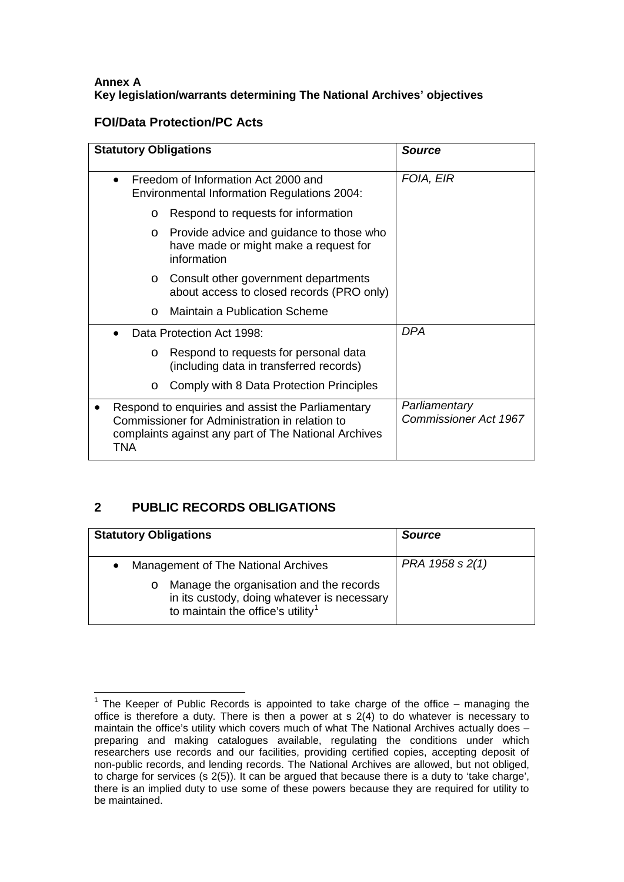## **Annex A Key legislation/warrants determining The National Archives' objectives**

## **FOI/Data Protection/PC Acts**

| <b>Statutory Obligations</b> |                                                                                                                                                             | <b>Source</b>                                 |
|------------------------------|-------------------------------------------------------------------------------------------------------------------------------------------------------------|-----------------------------------------------|
|                              | Freedom of Information Act 2000 and<br><b>Environmental Information Regulations 2004:</b>                                                                   | FOIA, EIR                                     |
| $\circ$                      | Respond to requests for information                                                                                                                         |                                               |
| $\circ$                      | Provide advice and guidance to those who<br>have made or might make a request for<br>information                                                            |                                               |
| $\circ$                      | Consult other government departments<br>about access to closed records (PRO only)                                                                           |                                               |
| $\Omega$                     | <b>Maintain a Publication Scheme</b>                                                                                                                        |                                               |
|                              | Data Protection Act 1998:                                                                                                                                   | <b>DPA</b>                                    |
| $\circ$                      | Respond to requests for personal data<br>(including data in transferred records)                                                                            |                                               |
| $\circ$                      | Comply with 8 Data Protection Principles                                                                                                                    |                                               |
| TNA                          | Respond to enquiries and assist the Parliamentary<br>Commissioner for Administration in relation to<br>complaints against any part of The National Archives | Parliamentary<br><b>Commissioner Act 1967</b> |

## **2 PUBLIC RECORDS OBLIGATIONS**

| <b>Statutory Obligations</b>                                                                                                                       | <b>Source</b>   |
|----------------------------------------------------------------------------------------------------------------------------------------------------|-----------------|
| Management of The National Archives                                                                                                                | PRA 1958 s 2(1) |
| Manage the organisation and the records<br>$\circ$<br>in its custody, doing whatever is necessary<br>to maintain the office's utility <sup>1</sup> |                 |

<span id="page-8-0"></span> $1$  The Keeper of Public Records is appointed to take charge of the office – managing the office is therefore a duty. There is then a power at s  $2(4)$  to do whatever is necessary to maintain the office's utility which covers much of what The National Archives actually does – preparing and making catalogues available, regulating the conditions under which researchers use records and our facilities, providing certified copies, accepting deposit of non-public records, and lending records. The National Archives are allowed, but not obliged, to charge for services (s 2(5)). It can be argued that because there is a duty to 'take charge', there is an implied duty to use some of these powers because they are required for utility to be maintained.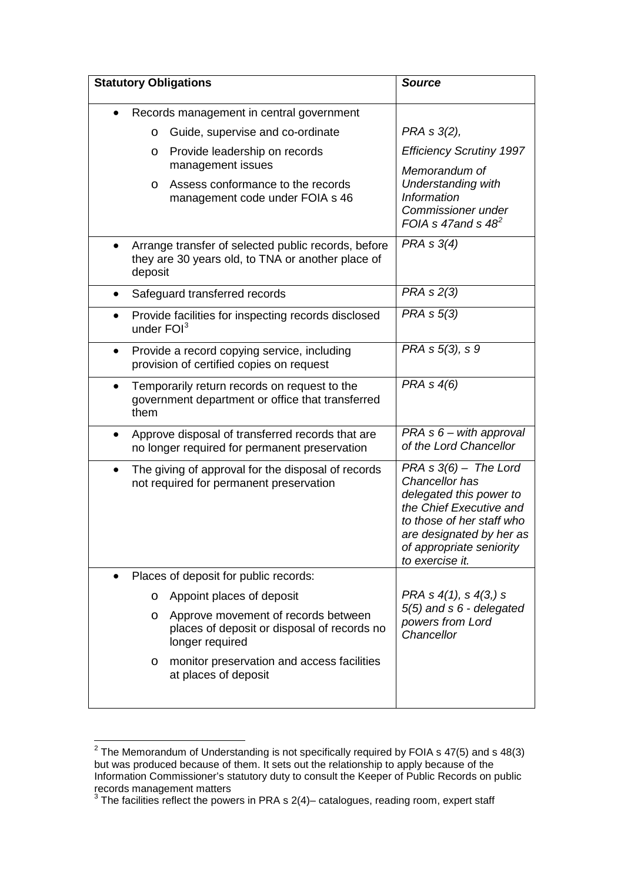| <b>Statutory Obligations</b>                                                                                          | <b>Source</b>                                                                                                                                                                                         |
|-----------------------------------------------------------------------------------------------------------------------|-------------------------------------------------------------------------------------------------------------------------------------------------------------------------------------------------------|
| Records management in central government                                                                              |                                                                                                                                                                                                       |
| Guide, supervise and co-ordinate<br>O                                                                                 | PRA s 3(2),                                                                                                                                                                                           |
| Provide leadership on records<br>O<br>management issues                                                               | <b>Efficiency Scrutiny 1997</b>                                                                                                                                                                       |
| Assess conformance to the records<br>$\circ$<br>management code under FOIA s 46                                       | Memorandum of<br><b>Understanding with</b><br><b>Information</b><br>Commissioner under<br>FOIA s 47 and s $48^2$                                                                                      |
| Arrange transfer of selected public records, before<br>they are 30 years old, to TNA or another place of<br>deposit   | PRA s 3(4)                                                                                                                                                                                            |
| Safeguard transferred records                                                                                         | PRA s 2(3)                                                                                                                                                                                            |
| Provide facilities for inspecting records disclosed<br>$\bullet$<br>under $FOI3$                                      | PRA s 5(3)                                                                                                                                                                                            |
| Provide a record copying service, including<br>provision of certified copies on request                               | PRA s 5(3), s 9                                                                                                                                                                                       |
| Temporarily return records on request to the<br>$\bullet$<br>government department or office that transferred<br>them | PRA s 4(6)                                                                                                                                                                                            |
| Approve disposal of transferred records that are<br>٠<br>no longer required for permanent preservation                | $PRA \, s \, 6 - with$ approval<br>of the Lord Chancellor                                                                                                                                             |
| The giving of approval for the disposal of records<br>٠<br>not required for permanent preservation                    | $PRA S(6)$ – The Lord<br>Chancellor has<br>delegated this power to<br>the Chief Executive and<br>to those of her staff who<br>are designated by her as<br>of appropriate seniority<br>to exercise it. |
| Places of deposit for public records:                                                                                 |                                                                                                                                                                                                       |
| Appoint places of deposit<br>O                                                                                        | PRA s 4(1), s 4(3,) s                                                                                                                                                                                 |
| Approve movement of records between<br>$\circ$<br>places of deposit or disposal of records no<br>longer required      | 5(5) and s 6 - delegated<br>powers from Lord<br>Chancellor                                                                                                                                            |
| monitor preservation and access facilities<br>$\circ$<br>at places of deposit                                         |                                                                                                                                                                                                       |

<span id="page-9-0"></span> $\frac{1}{2}$  The Memorandum of Understanding is not specifically required by FOIA s 47(5) and s 48(3) but was produced because of them. It sets out the relationship to apply because of the Information Commissioner's statutory duty to consult the Keeper of Public Records on public records management matters

<span id="page-9-1"></span> $3$  The facilities reflect the powers in PRA s 2(4)– catalogues, reading room, expert staff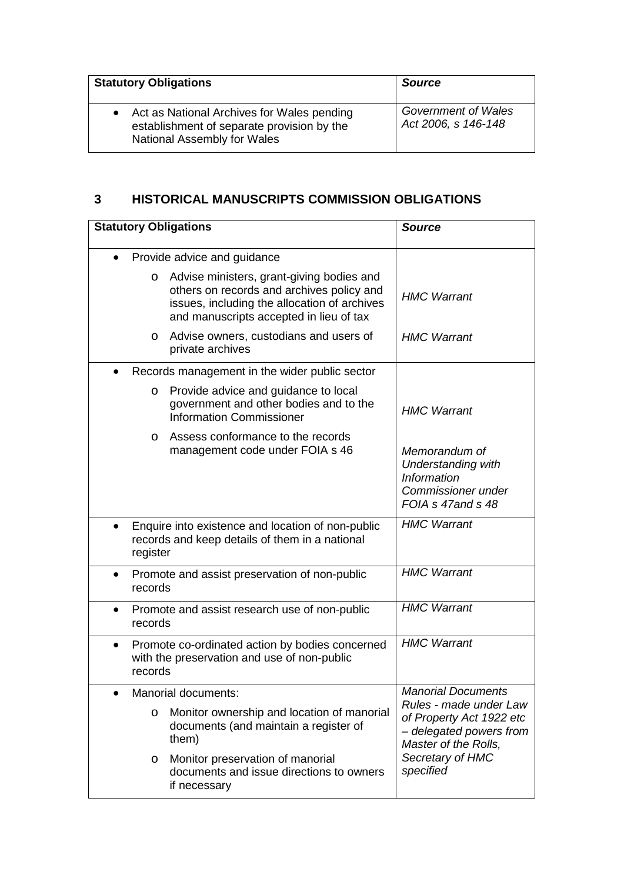| <b>Statutory Obligations</b>                                                                                              | <b>Source</b>                              |
|---------------------------------------------------------------------------------------------------------------------------|--------------------------------------------|
| • Act as National Archives for Wales pending<br>establishment of separate provision by the<br>National Assembly for Wales | Government of Wales<br>Act 2006, s 146-148 |

## **3 HISTORICAL MANUSCRIPTS COMMISSION OBLIGATIONS**

| <b>Statutory Obligations</b> |                                                                                                                                                                                   | <b>Source</b>                                                                                               |
|------------------------------|-----------------------------------------------------------------------------------------------------------------------------------------------------------------------------------|-------------------------------------------------------------------------------------------------------------|
| Provide advice and guidance  |                                                                                                                                                                                   |                                                                                                             |
| O                            | Advise ministers, grant-giving bodies and<br>others on records and archives policy and<br>issues, including the allocation of archives<br>and manuscripts accepted in lieu of tax | <b>HMC Warrant</b>                                                                                          |
| $\circ$                      | Advise owners, custodians and users of<br>private archives                                                                                                                        | <b>HMC Warrant</b>                                                                                          |
|                              | Records management in the wider public sector                                                                                                                                     |                                                                                                             |
| O                            | Provide advice and guidance to local<br>government and other bodies and to the<br><b>Information Commissioner</b>                                                                 | <b>HMC Warrant</b>                                                                                          |
| $\circ$                      | Assess conformance to the records<br>management code under FOIA s 46                                                                                                              | Memorandum of<br><b>Understanding with</b><br><b>Information</b><br>Commissioner under<br>FOIA s 47and s 48 |
| register                     | Enquire into existence and location of non-public<br>records and keep details of them in a national                                                                               | <b>HMC Warrant</b>                                                                                          |
| $\bullet$<br>records         | Promote and assist preservation of non-public                                                                                                                                     | <b>HMC Warrant</b>                                                                                          |
| $\bullet$<br>records         | Promote and assist research use of non-public                                                                                                                                     | <b>HMC Warrant</b>                                                                                          |
| $\bullet$<br>records         | Promote co-ordinated action by bodies concerned<br>with the preservation and use of non-public                                                                                    | <b>HMC Warrant</b>                                                                                          |
|                              | Manorial documents:                                                                                                                                                               | <b>Manorial Documents</b>                                                                                   |
| O                            | Monitor ownership and location of manorial<br>documents (and maintain a register of<br>them)                                                                                      | Rules - made under Law<br>of Property Act 1922 etc<br>- delegated powers from<br>Master of the Rolls,       |
| $\circ$                      | Monitor preservation of manorial<br>documents and issue directions to owners<br>if necessary                                                                                      | Secretary of HMC<br>specified                                                                               |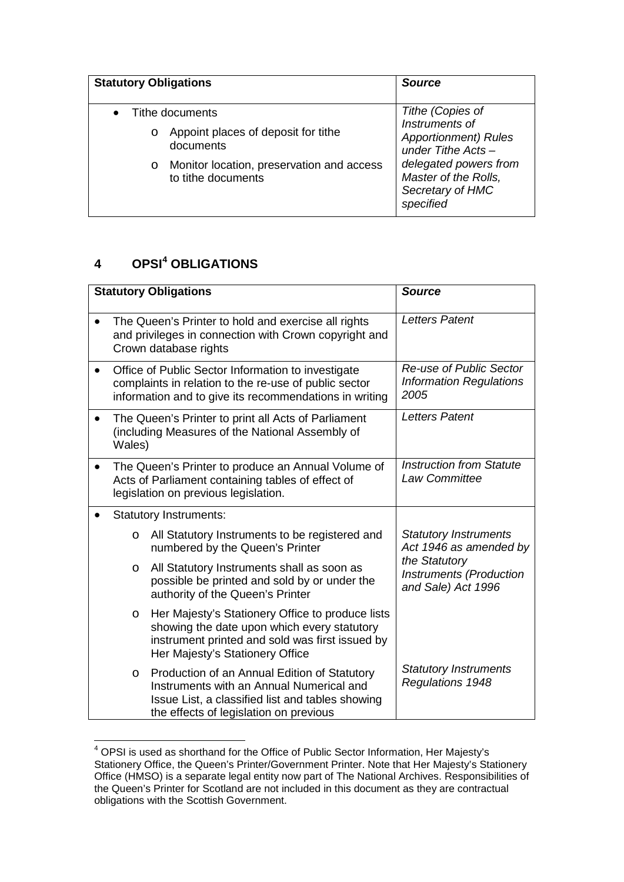| <b>Statutory Obligations</b> |                                                                 | <b>Source</b>                                                                  |
|------------------------------|-----------------------------------------------------------------|--------------------------------------------------------------------------------|
| $\bullet$                    | Tithe documents                                                 | Tithe (Copies of<br>Instruments of                                             |
| $\circ$                      | Appoint places of deposit for tithe<br>documents                | <b>Apportionment</b> ) Rules<br>under Tithe Acts $-$                           |
| $\circ$                      | Monitor location, preservation and access<br>to tithe documents | delegated powers from<br>Master of the Rolls,<br>Secretary of HMC<br>specified |

# **4 OPSI[4](#page-11-0) OBLIGATIONS**

|           |                                                                                                                                                                       | <b>Statutory Obligations</b>                                                                                                                                                           | <b>Source</b>                                                         |
|-----------|-----------------------------------------------------------------------------------------------------------------------------------------------------------------------|----------------------------------------------------------------------------------------------------------------------------------------------------------------------------------------|-----------------------------------------------------------------------|
|           |                                                                                                                                                                       | The Queen's Printer to hold and exercise all rights<br>and privileges in connection with Crown copyright and<br>Crown database rights                                                  | <b>Letters Patent</b>                                                 |
| $\bullet$ | Office of Public Sector Information to investigate<br>complaints in relation to the re-use of public sector<br>information and to give its recommendations in writing |                                                                                                                                                                                        | Re-use of Public Sector<br><b>Information Regulations</b><br>2005     |
|           | Wales)                                                                                                                                                                | The Queen's Printer to print all Acts of Parliament<br>(including Measures of the National Assembly of                                                                                 | <b>Letters Patent</b>                                                 |
|           |                                                                                                                                                                       | The Queen's Printer to produce an Annual Volume of<br>Acts of Parliament containing tables of effect of<br>legislation on previous legislation.                                        | <b>Instruction from Statute</b><br>Law Committee                      |
|           |                                                                                                                                                                       | <b>Statutory Instruments:</b>                                                                                                                                                          |                                                                       |
|           | $\circ$                                                                                                                                                               | All Statutory Instruments to be registered and<br>numbered by the Queen's Printer                                                                                                      | <b>Statutory Instruments</b><br>Act 1946 as amended by                |
|           | $\circ$                                                                                                                                                               | All Statutory Instruments shall as soon as<br>possible be printed and sold by or under the<br>authority of the Queen's Printer                                                         | the Statutory<br><b>Instruments (Production</b><br>and Sale) Act 1996 |
|           | $\circ$                                                                                                                                                               | Her Majesty's Stationery Office to produce lists<br>showing the date upon which every statutory<br>instrument printed and sold was first issued by<br>Her Majesty's Stationery Office  |                                                                       |
|           | $\circ$                                                                                                                                                               | Production of an Annual Edition of Statutory<br>Instruments with an Annual Numerical and<br>Issue List, a classified list and tables showing<br>the effects of legislation on previous | <b>Statutory Instruments</b><br>Regulations 1948                      |

<span id="page-11-0"></span> <sup>4</sup> OPSI is used as shorthand for the Office of Public Sector Information, Her Majesty's Stationery Office, the Queen's Printer/Government Printer. Note that Her Majesty's Stationery Office (HMSO) is a separate legal entity now part of The National Archives. Responsibilities of the Queen's Printer for Scotland are not included in this document as they are contractual obligations with the Scottish Government.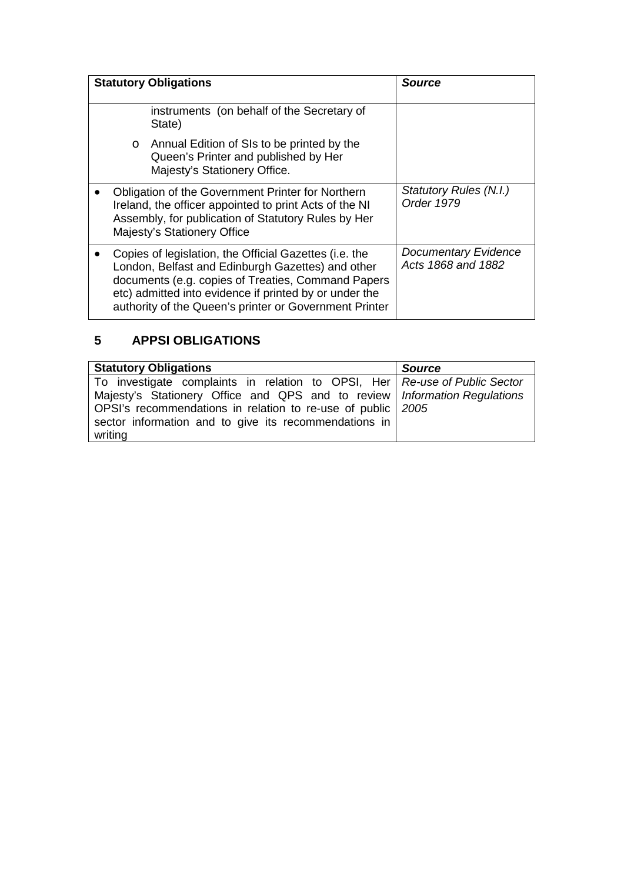| <b>Statutory Obligations</b>                                                                                                                                                                      |         |                                                                                                                                                                                                                                                                                       | <b>Source</b>                                     |
|---------------------------------------------------------------------------------------------------------------------------------------------------------------------------------------------------|---------|---------------------------------------------------------------------------------------------------------------------------------------------------------------------------------------------------------------------------------------------------------------------------------------|---------------------------------------------------|
|                                                                                                                                                                                                   |         | instruments (on behalf of the Secretary of<br>State)                                                                                                                                                                                                                                  |                                                   |
|                                                                                                                                                                                                   | $\circ$ | Annual Edition of SIs to be printed by the<br>Queen's Printer and published by Her<br>Majesty's Stationery Office.                                                                                                                                                                    |                                                   |
| Obligation of the Government Printer for Northern<br>Ireland, the officer appointed to print Acts of the NI<br>Assembly, for publication of Statutory Rules by Her<br>Majesty's Stationery Office |         |                                                                                                                                                                                                                                                                                       | <b>Statutory Rules (N.I.)</b><br>Order 1979       |
|                                                                                                                                                                                                   |         | Copies of legislation, the Official Gazettes (i.e. the<br>London, Belfast and Edinburgh Gazettes) and other<br>documents (e.g. copies of Treaties, Command Papers<br>etc) admitted into evidence if printed by or under the<br>authority of the Queen's printer or Government Printer | <b>Documentary Evidence</b><br>Acts 1868 and 1882 |

# **5 APPSI OBLIGATIONS**

| <b>Statutory Obligations</b>                                                 | <b>Source</b> |
|------------------------------------------------------------------------------|---------------|
| To investigate complaints in relation to OPSI, Her   Re-use of Public Sector |               |
| Majesty's Stationery Office and QPS and to review   Information Regulations  |               |
| OPSI's recommendations in relation to re-use of public 2005                  |               |
| sector information and to give its recommendations in                        |               |
| writing                                                                      |               |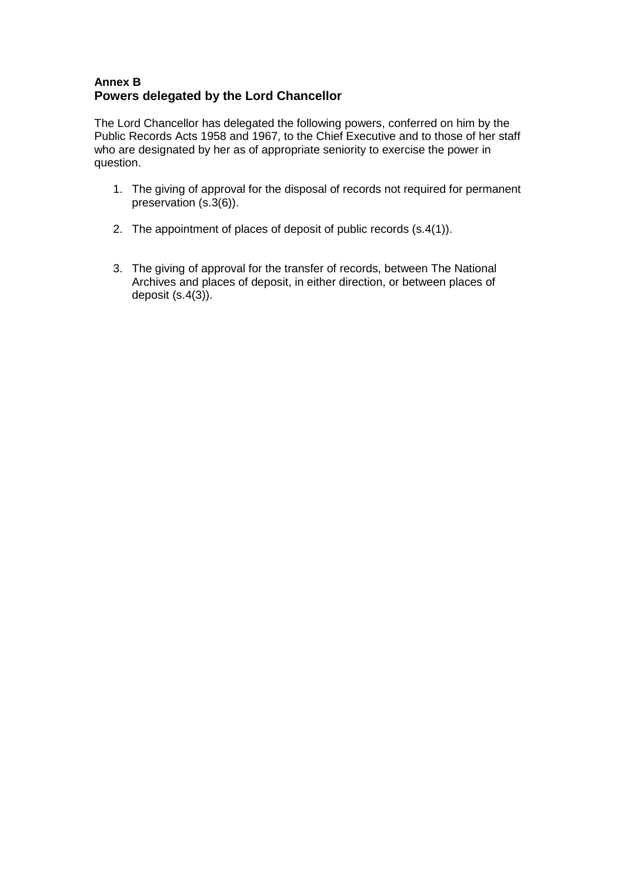## **Annex B Powers delegated by the Lord Chancellor**

The Lord Chancellor has delegated the following powers, conferred on him by the Public Records Acts 1958 and 1967, to the Chief Executive and to those of her staff who are designated by her as of appropriate seniority to exercise the power in question.

- 1. The giving of approval for the disposal of records not required for permanent preservation (s.3(6)).
- 2. The appointment of places of deposit of public records (s.4(1)).
- 3. The giving of approval for the transfer of records, between The National Archives and places of deposit, in either direction, or between places of deposit (s.4(3)).